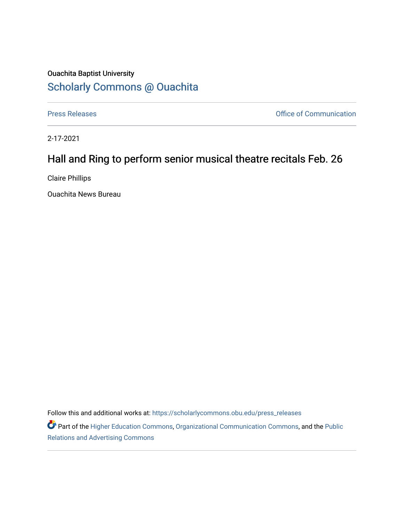## Ouachita Baptist University [Scholarly Commons @ Ouachita](https://scholarlycommons.obu.edu/)

[Press Releases](https://scholarlycommons.obu.edu/press_releases) **Press Releases Communication** 

2-17-2021

## Hall and Ring to perform senior musical theatre recitals Feb. 26

Claire Phillips

Ouachita News Bureau

Follow this and additional works at: [https://scholarlycommons.obu.edu/press\\_releases](https://scholarlycommons.obu.edu/press_releases?utm_source=scholarlycommons.obu.edu%2Fpress_releases%2F754&utm_medium=PDF&utm_campaign=PDFCoverPages)

Part of the [Higher Education Commons,](http://network.bepress.com/hgg/discipline/1245?utm_source=scholarlycommons.obu.edu%2Fpress_releases%2F754&utm_medium=PDF&utm_campaign=PDFCoverPages) [Organizational Communication Commons,](http://network.bepress.com/hgg/discipline/335?utm_source=scholarlycommons.obu.edu%2Fpress_releases%2F754&utm_medium=PDF&utm_campaign=PDFCoverPages) and the [Public](http://network.bepress.com/hgg/discipline/336?utm_source=scholarlycommons.obu.edu%2Fpress_releases%2F754&utm_medium=PDF&utm_campaign=PDFCoverPages) [Relations and Advertising Commons](http://network.bepress.com/hgg/discipline/336?utm_source=scholarlycommons.obu.edu%2Fpress_releases%2F754&utm_medium=PDF&utm_campaign=PDFCoverPages)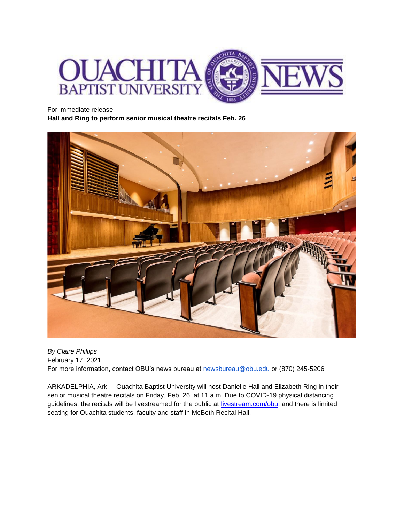

For immediate release

**Hall and Ring to perform senior musical theatre recitals Feb. 26**



*By Claire Phillips* February 17, 2021 For more information, contact OBU's news bureau at [newsbureau@obu.edu](mailto:newsbureau@obu.edu) or (870) 245-5206

ARKADELPHIA, Ark. – Ouachita Baptist University will host Danielle Hall and Elizabeth Ring in their senior musical theatre recitals on Friday, Feb. 26, at 11 a.m. Due to COVID-19 physical distancing guidelines, the recitals will be livestreamed for the public at [livestream.com/obu,](https://livestream.com/obu) and there is limited seating for Ouachita students, faculty and staff in McBeth Recital Hall.